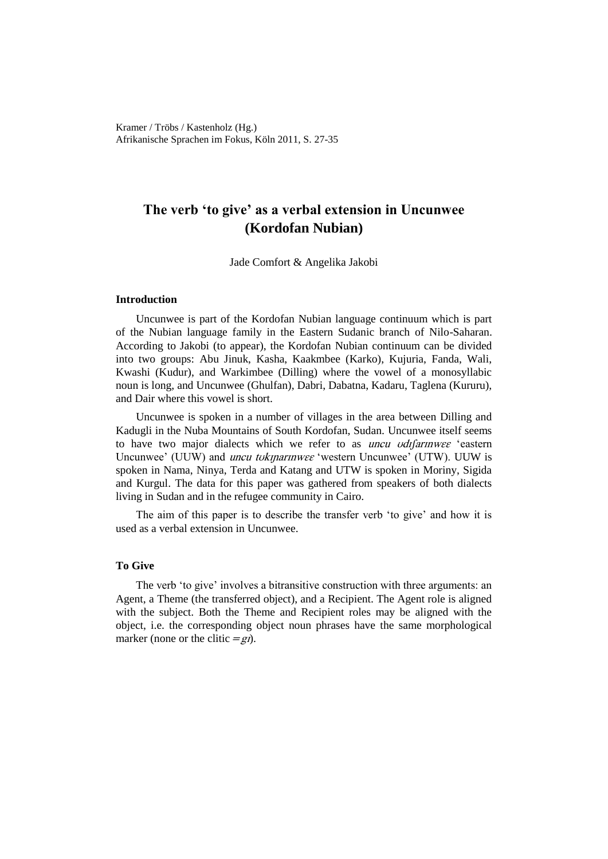Kramer / Tröbs / Kastenholz (Hg.) Afrikanische Sprachen im Fokus, Köln 2011, S. 27-35

# **The verb 'to give' as a verbal extension in Uncunwee (Kordofan Nubian)**

Jade Comfort & Angelika Jakobi

### **Introduction**

Uncunwee is part of the Kordofan Nubian language continuum which is part of the Nubian language family in the Eastern Sudanic branch of Nilo-Saharan. According to Jakobi (to appear), the Kordofan Nubian continuum can be divided into two groups: Abu Jinuk, Kasha, Kaakmbee (Karko), Kujuria, Fanda, Wali, Kwashi (Kudur), and Warkimbee (Dilling) where the vowel of a monosyllabic noun is long, and Uncunwee (Ghulfan), Dabri, Dabatna, Kadaru, Taglena (Kururu), and Dair where this vowel is short.

Uncunwee is spoken in a number of villages in the area between Dilling and Kadugli in the Nuba Mountains of South Kordofan, Sudan. Uncunwee itself seems to have two major dialects which we refer to as *uncu vdifarinwee* 'eastern Uncunwee' (UUW) and *uncu tokinarinwee* 'western Uncunwee' (UTW). UUW is spoken in Nama, Ninya, Terda and Katang and UTW is spoken in Moriny, Sigida and Kurgul. The data for this paper was gathered from speakers of both dialects living in Sudan and in the refugee community in Cairo.

The aim of this paper is to describe the transfer verb 'to give' and how it is used as a verbal extension in Uncunwee.

# **To Give**

The verb 'to give' involves a bitransitive construction with three arguments: an Agent, a Theme (the transferred object), and a Recipient. The Agent role is aligned with the subject. Both the Theme and Recipient roles may be aligned with the object, i.e. the corresponding object noun phrases have the same morphological marker (none or the clitic  $=gi$ ).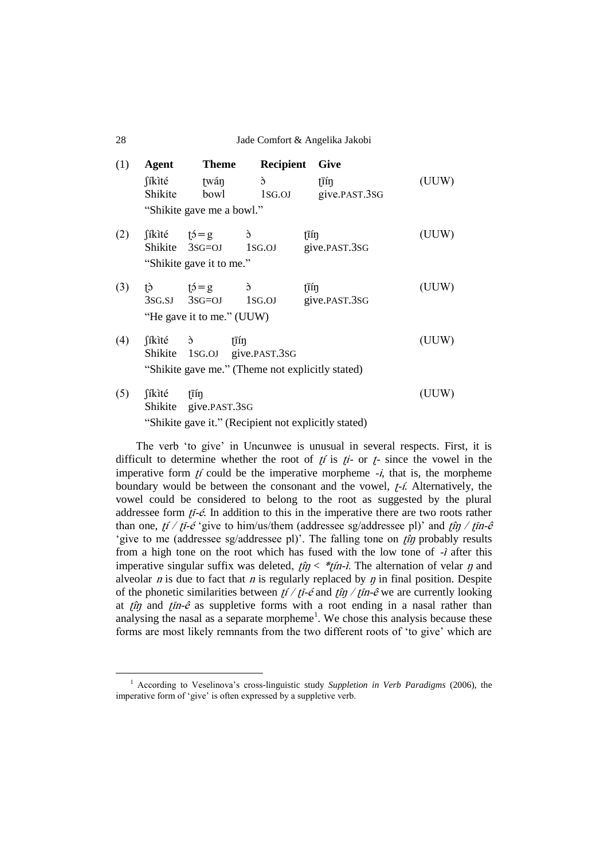28 Jade Comfort & Angelika Jakobi

| (1) | Agent                                                                                                                                                                                                                                                                                                                                                                                                                 | <b>Theme</b>              | Recipient                                            | <b>Give</b>   |       |
|-----|-----------------------------------------------------------------------------------------------------------------------------------------------------------------------------------------------------------------------------------------------------------------------------------------------------------------------------------------------------------------------------------------------------------------------|---------------------------|------------------------------------------------------|---------------|-------|
|     | fíkìté                                                                                                                                                                                                                                                                                                                                                                                                                | twán                      | ć                                                    | tīín          | (UUW) |
|     | Shikite                                                                                                                                                                                                                                                                                                                                                                                                               | bowl                      | 1sg.oj                                               | give.PAST.3SG |       |
|     |                                                                                                                                                                                                                                                                                                                                                                                                                       | "Shikite gave me a bowl." |                                                      |               |       |
| (2) | $\int$ ikité $\uparrow$ $\uparrow$ $\downarrow$ $\uparrow$ $\downarrow$ $\downarrow$ $\uparrow$ $\downarrow$ $\uparrow$ $\uparrow$ $\uparrow$ $\uparrow$ $\uparrow$ $\uparrow$ $\uparrow$ $\uparrow$ $\uparrow$ $\uparrow$ $\uparrow$ $\uparrow$ $\uparrow$ $\uparrow$ $\uparrow$ $\uparrow$ $\uparrow$ $\uparrow$ $\uparrow$ $\uparrow$ $\uparrow$ $\uparrow$ $\uparrow$ $\uparrow$ $\uparrow$ $\uparrow$ $\uparrow$ |                           | $\delta$                                             | tīín          | (UUW) |
|     |                                                                                                                                                                                                                                                                                                                                                                                                                       |                           | Shikite 3sg=0J 1sg.0J                                | give.PAST.3SG |       |
|     |                                                                                                                                                                                                                                                                                                                                                                                                                       | "Shikite gave it to me."  |                                                      |               |       |
| (3) | $\uparrow$ $\uparrow$ $\downarrow$ $\uparrow$ $\downarrow$ $\uparrow$ $\downarrow$ $\uparrow$ $\downarrow$ $\uparrow$ $\downarrow$                                                                                                                                                                                                                                                                                    |                           | $\delta$                                             | tīín          | (UUW) |
|     |                                                                                                                                                                                                                                                                                                                                                                                                                       |                           | $3SG.SJ$ $3SG=OJ$ $1SG.OJ$                           | give.PAST.3SG |       |
|     |                                                                                                                                                                                                                                                                                                                                                                                                                       | "He gave it to me." (UUW) |                                                      |               |       |
| (4) | fíkité ò                                                                                                                                                                                                                                                                                                                                                                                                              |                           | tīín                                                 |               | (UUW) |
|     |                                                                                                                                                                                                                                                                                                                                                                                                                       |                           | Shikite 1SG.OJ give.PAST.3SG                         |               |       |
|     |                                                                                                                                                                                                                                                                                                                                                                                                                       |                           | "Shikite gave me." (Theme not explicitly stated)     |               |       |
| (5) | <b>f</b> ikité                                                                                                                                                                                                                                                                                                                                                                                                        | tīín                      |                                                      |               | (UUW) |
|     |                                                                                                                                                                                                                                                                                                                                                                                                                       | Shikite give.PAST.3SG     |                                                      |               |       |
|     |                                                                                                                                                                                                                                                                                                                                                                                                                       |                           | "Shikite gave it." (Recipient not explicitly stated) |               |       |

The verb "to give" in Uncunwee is unusual in several respects. First, it is difficult to determine whether the root of  $f_i$  is  $f_i$ - or  $f$ - since the vowel in the imperative form  $f_i$  could be the imperative morpheme  $-i$ , that is, the morpheme boundary would be between the consonant and the vowel,  $f$ -*í*. Alternatively, the vowel could be considered to belong to the root as suggested by the plural addressee form  $t\overline{t}$ -é. In addition to this in the imperative there are two roots rather than one,  $f/ f \bar{f} - \acute{\epsilon}$  'give to him/us/them (addressee sg/addressee pl)' and  $f \hat{i} \eta / f \bar{i} \eta - \hat{\epsilon}$ 'give to me (addressee sg/addressee pl)'. The falling tone on  $f\hat{i}\eta$  probably results from a high tone on the root which has fused with the low tone of  $-i$  after this imperative singular suffix was deleted,  $f\hat{n} < *f\hat{n}$ -*i*. The alternation of velar  $\eta$  and alveolar *n* is due to fact that *n* is regularly replaced by  $\eta$  in final position. Despite of the phonetic similarities between  $f/ \sqrt{t} - \epsilon$  and  $f / \sqrt{t} - \epsilon$  we are currently looking at  $\hat{p}$  and  $\hat{p}$  as suppletive forms with a root ending in a nasal rather than analysing the nasal as a separate morpheme<sup>1</sup>. We chose this analysis because these forms are most likely remnants from the two different roots of "to give" which are

 $\overline{a}$ 

<sup>&</sup>lt;sup>1</sup> According to Veselinova's cross-linguistic study Suppletion in Verb Paradigms (2006), the imperative form of "give" is often expressed by a suppletive verb.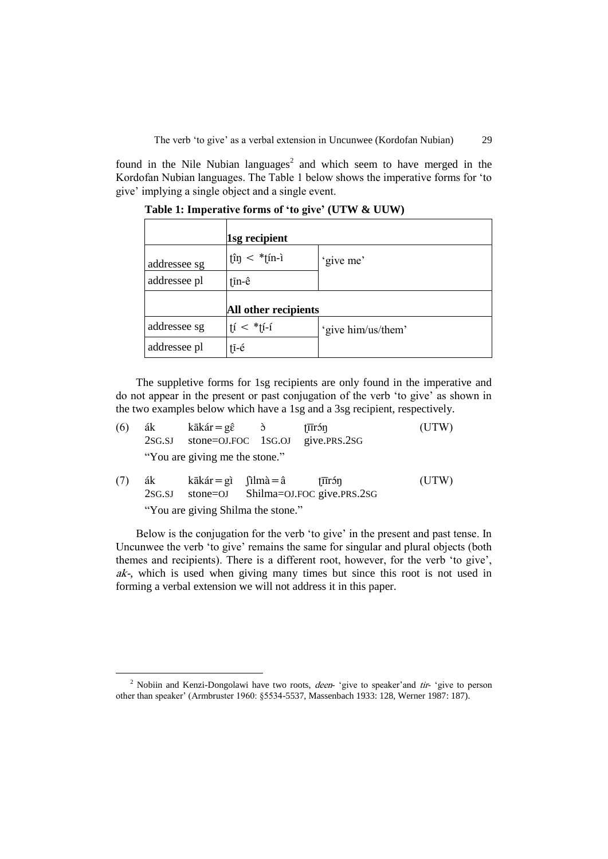The verb 'to give' as a verbal extension in Uncunwee (Kordofan Nubian) 29

found in the Nile Nubian languages<sup>2</sup> and which seem to have merged in the Kordofan Nubian languages. The Table 1 below shows the imperative forms for "to give" implying a single object and a single event.

|              | 1sg recipient               |                    |
|--------------|-----------------------------|--------------------|
| addressee sg | $\hat{\mu}$ < * $\hat{\mu}$ | 'give me'          |
| addressee pl | $\bar{\text{in}}$ -ê        |                    |
|              | All other recipients        |                    |
| addressee sg | $ i  <$ * $ i-i $           | 'give him/us/them' |
| addressee pl | $1\overline{1}$ -é          |                    |

**Table 1: Imperative forms of 'to give' (UTW & UUW)**

The suppletive forms for 1sg recipients are only found in the imperative and do not appear in the present or past conjugation of the verb "to give" as shown in the two examples below which have a 1sg and a 3sg recipient, respectively.

| (6) | ák<br>2SG.SJ | $k\bar{a}k\acute{a}r = g\hat{\epsilon}$ $\delta$ | $\bar{\text{t}}$ Tirốn<br>stone=OJ.FOC 1SG.OJ give.PRS.2SG | (UTW) |
|-----|--------------|--------------------------------------------------|------------------------------------------------------------|-------|
|     |              | "You are giving me the stone."                   |                                                            |       |
| (7) | ák<br>2SG.SJ | kākár = gì fìlmà = â                             | † <del>i</del> trón<br>stone=OJ Shilma=OJ.FOC give.PRS.2SG | (UTW) |

"You are giving Shilma the stone."

 $\overline{a}$ 

Below is the conjugation for the verb 'to give' in the present and past tense. In Uncunwee the verb "to give" remains the same for singular and plural objects (both themes and recipients). There is a different root, however, for the verb "to give", ak-, which is used when giving many times but since this root is not used in forming a verbal extension we will not address it in this paper.

<sup>&</sup>lt;sup>2</sup> Nobiin and Kenzi-Dongolawi have two roots, *deen*- 'give to speaker' and *tir*- 'give to person other than speaker" (Armbruster 1960: §5534-5537, Massenbach 1933: 128, Werner 1987: 187).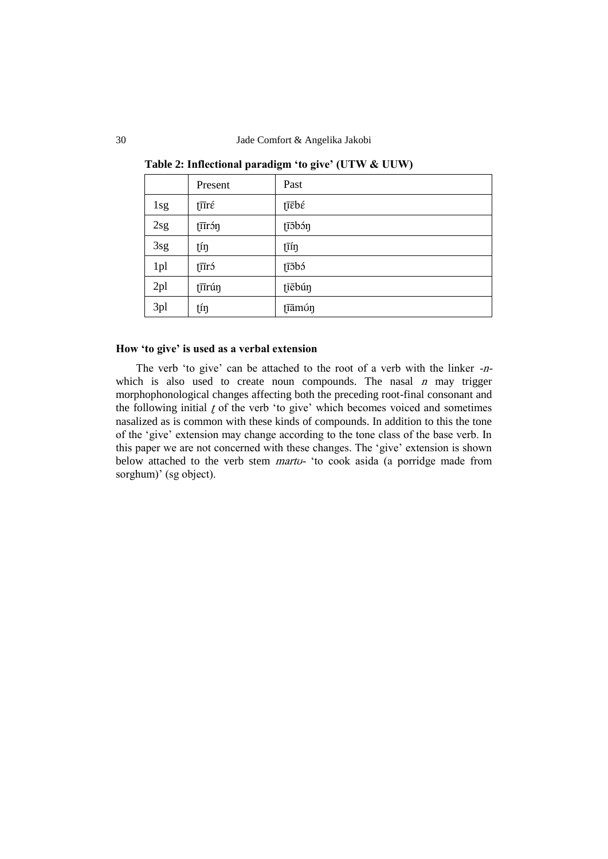|     | Present   | Past   |
|-----|-----------|--------|
| 1sg | tūré      | tīēbé  |
| 2sg | tūrón     | tī5bóŋ |
| 3sg | tíŋ       | tīíŋ   |
| 1pl | $\bar{z}$ | tī5bó  |
| 2pl | tūrúŋ     | tiēbúŋ |
| 3pl | tíŋ       | tīāmúŋ |

**Table 2: Inflectional paradigm 'to give' (UTW & UUW)**

#### **How 'to give' is used as a verbal extension**

The verb 'to give' can be attached to the root of a verb with the linker -nwhich is also used to create noun compounds. The nasal  $n$  may trigger morphophonological changes affecting both the preceding root-final consonant and the following initial  *of the verb 'to give' which becomes voiced and sometimes* nasalized as is common with these kinds of compounds. In addition to this the tone of the "give" extension may change according to the tone class of the base verb. In this paper we are not concerned with these changes. The "give" extension is shown below attached to the verb stem *martu*- 'to cook asida (a porridge made from sorghum)' (sg object).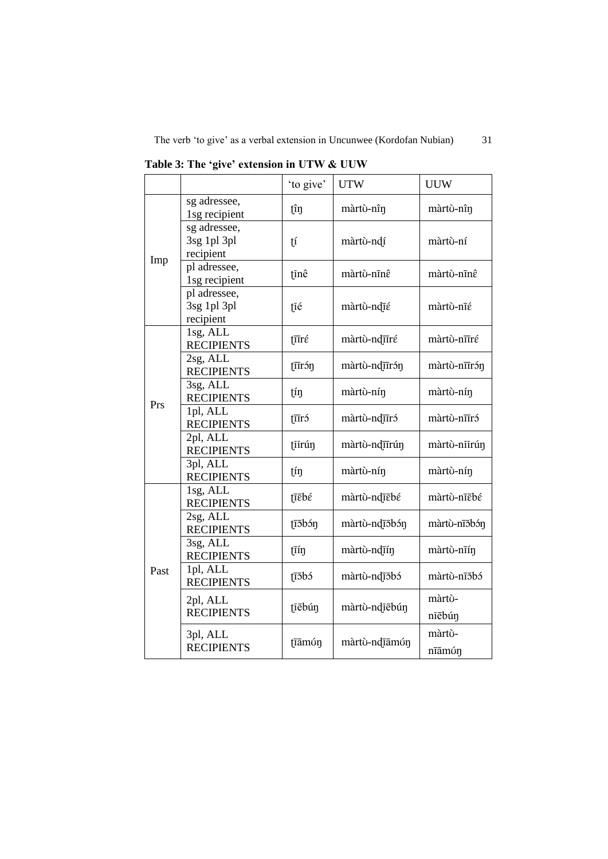|      |                                          | 'to give'                                                    | <b>UTW</b>                 | <b>UUW</b>       |
|------|------------------------------------------|--------------------------------------------------------------|----------------------------|------------------|
|      | sg adressee,<br>1sg recipient            | tîŋ                                                          | màrtù-nîn                  | màrtù-nîn        |
| Imp  | sg adressee,<br>3sg 1pl 3pl<br>recipient | $\mathfrak{t}$                                               | màrtù-ndí                  | màrtù-ní         |
|      | pl adressee,<br>1sg recipient            | tinê                                                         | màrtù-nīnê                 | màrtù-nīnê       |
|      | pl adressee,<br>3sg 1pl 3pl<br>recipient | țié                                                          | màrtù-ndīé                 | màrtù-nīé        |
|      | 1sg, ALL<br><b>RECIPIENTS</b>            | ţπré                                                         | màrtù-nduré                | màrtù-nīīré      |
|      | 2sg, ALL<br><b>RECIPIENTS</b>            | $\bar{I}$ IIróŋ                                              | màrtù-ndurón               | màrtù-nīīrón     |
| Prs  | 3sg, ALL<br><b>RECIPIENTS</b>            | tíŋ                                                          | màrtù-nín                  | màrtù-nín        |
|      | 1pl, ALL<br><b>RECIPIENTS</b>            | $\bar{\text{t}}$                                             | màrtù-nduró                | màrtù-nīīró      |
|      | 2pl, ALL<br><b>RECIPIENTS</b>            | tiirún                                                       | màrtù-ndurún               | màrtò-niirún     |
|      | 3pl, ALL<br><b>RECIPIENTS</b>            | $\varprojlim$                                                | màrtù-nín                  | màrtù-nín        |
|      | 1sg, ALL<br><b>RECIPIENTS</b>            | tīēbé                                                        | màrtù-nd <del>ie</del> bé  | màrtù-nīēbé      |
|      | 2sg, ALL<br><b>RECIPIENTS</b>            | tī5bóŋ                                                       | màrtù-ndīōbón              | màrtù-nīōbón     |
|      | 3sg, ALL<br>tīíŋ<br><b>RECIPIENTS</b>    |                                                              | màrtù-ndīín                | màrtù-nīín       |
| Past | 1pl, ALL<br><b>RECIPIENTS</b>            | $1\overline{1}$ $\overline{5}$ $\overline{1}$ $\overline{5}$ | màrtù-ndī5bó               | màrtù-nī5bó      |
|      | 2pl, ALL<br><b>RECIPIENTS</b>            | tiebún                                                       | màrtù-ndiēbún              | màrtù-<br>nīēbúŋ |
|      | 3pl, ALL<br><b>RECIPIENTS</b>            | tamún                                                        | màrtù-nd <del>ia</del> mún | màrtù-<br>nīāmúŋ |

**Table 3: The 'give' extension in UTW & UUW**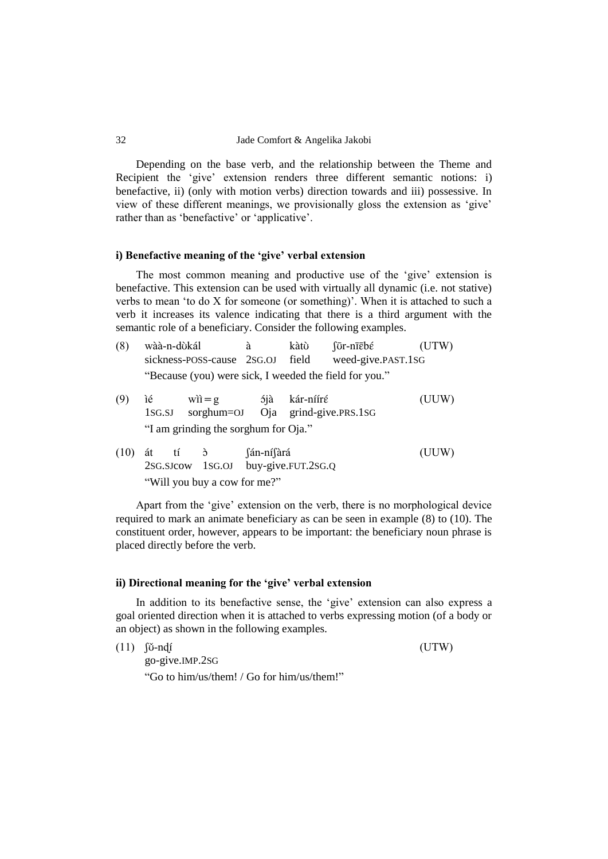Depending on the base verb, and the relationship between the Theme and Recipient the 'give' extension renders three different semantic notions: i) benefactive, ii) (only with motion verbs) direction towards and iii) possessive. In view of these different meanings, we provisionally gloss the extension as "give" rather than as 'benefactive' or 'applicative'.

## **i) Benefactive meaning of the 'give' verbal extension**

The most common meaning and productive use of the 'give' extension is benefactive. This extension can be used with virtually all dynamic (i.e. not stative) verbs to mean "to do X for someone (or something)". When it is attached to such a verb it increases its valence indicating that there is a third argument with the semantic role of a beneficiary. Consider the following examples.

| (8) | wàà-n-dùkál                                            | kàtù | fūr-nīēbé          | (UTW) |
|-----|--------------------------------------------------------|------|--------------------|-------|
|     | sickness-POSS-cause 2SG.OJ field                       |      | weed-give.PAST.1SG |       |
|     | "Because (you) were sick, I weeded the field for you." |      |                    |       |

- (9) ìé wìì=g ójà kár-nííré (UUW) 1SG.SJ sorghum=OJ Oja grind-give.PRS.1SG "I am grinding the sorghum for Oja."
- $(10)$  át tí  $\delta$  fán-ní $\delta$ ará (UUW) 2SG.SJcow 1SG.OJ buy-give.FUT.2SG.Q "Will you buy a cow for me?"

Apart from the "give" extension on the verb, there is no morphological device required to mark an animate beneficiary as can be seen in example (8) to (10). The constituent order, however, appears to be important: the beneficiary noun phrase is placed directly before the verb.

## **ii) Directional meaning for the 'give' verbal extension**

In addition to its benefactive sense, the "give" extension can also express a goal oriented direction when it is attached to verbs expressing motion (of a body or an object) as shown in the following examples.

 $(11)$   $[$ <del> $\check{U}$ -ndi</del> $($ UTW)

go-give.IMP.2SG "Go to him/us/them! / Go for him/us/them!"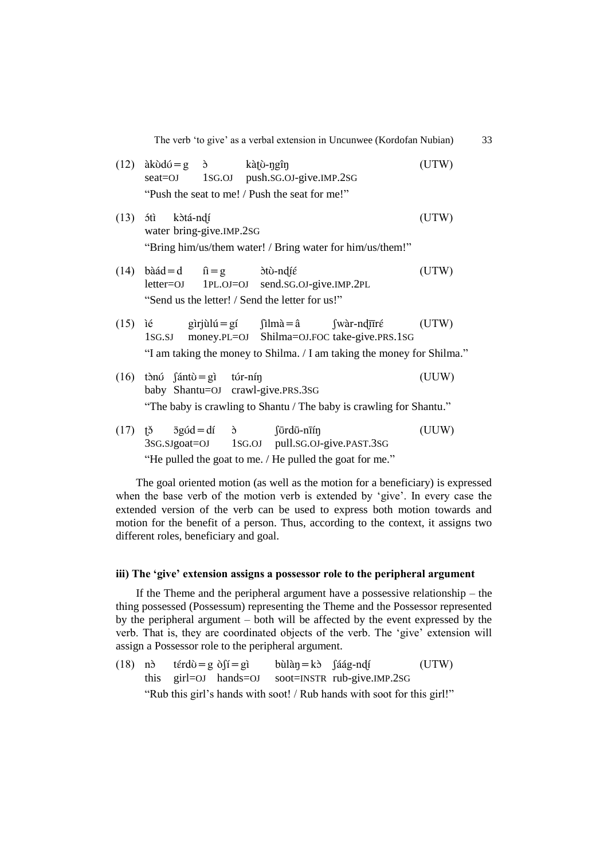The verb 'to give' as a verbal extension in Uncunwee (Kordofan Nubian) 33

| (12) |                                              | $ak\ddot{o}d\acute{o} = g \quad \grave{o}$ kàtỷ-ngîn |                                                                                                                                                                                                                                                                                                                                                                                                                                                                                                                                            | seat=OJ 1SG.OJ push.SG.OJ-give.IMP.2SG                                                                    | (UTW                                                                                                                                                                                    |
|------|----------------------------------------------|------------------------------------------------------|--------------------------------------------------------------------------------------------------------------------------------------------------------------------------------------------------------------------------------------------------------------------------------------------------------------------------------------------------------------------------------------------------------------------------------------------------------------------------------------------------------------------------------------------|-----------------------------------------------------------------------------------------------------------|-----------------------------------------------------------------------------------------------------------------------------------------------------------------------------------------|
|      |                                              |                                                      | "Push the seat to me! / Push the seat for me!"                                                                                                                                                                                                                                                                                                                                                                                                                                                                                             |                                                                                                           |                                                                                                                                                                                         |
|      | $(13)$ ótì kòtá-ndí                          | water bring-give.IMP.2SG                             |                                                                                                                                                                                                                                                                                                                                                                                                                                                                                                                                            | "Bring him/us/them water! / Bring water for him/us/them!"                                                 | (UTW)                                                                                                                                                                                   |
|      |                                              |                                                      | $(14)$ bàád=d $\hat{n} = g$ dtù-ndié<br>"Send us the letter! / Send the letter for us!"                                                                                                                                                                                                                                                                                                                                                                                                                                                    | letter=OJ 1PL.OJ=OJ send.SG.OJ-give.IMP.2PL                                                               | (UTW)                                                                                                                                                                                   |
|      |                                              |                                                      |                                                                                                                                                                                                                                                                                                                                                                                                                                                                                                                                            | 1SG.SJ money.PL=OJ Shilma=OJ.FOC take-give.PRS.1SG                                                        | (15) ié gìrjùlú=gí $\int \ln \alpha = \hat{a}$ $\int \text{wàr-nd} \overline{\text{tr}} \hat{\epsilon}$ (UTW)<br>"I am taking the money to Shilma. / I am taking the money for Shilma." |
|      | $(16)$ tònú $\int \sin \theta = g$ ì túr-nín |                                                      | baby Shantu=OJ crawl-give.PRS.3SG                                                                                                                                                                                                                                                                                                                                                                                                                                                                                                          |                                                                                                           | (UUW)<br>"The baby is crawling to Shantu / The baby is crawling for Shantu."                                                                                                            |
| (17) |                                              |                                                      | $\overrightarrow{p}$ $\overrightarrow{q}$ $\overrightarrow{q}$ $\overrightarrow{q}$ $\overrightarrow{q}$ $\overrightarrow{q}$ $\overrightarrow{q}$ $\overrightarrow{q}$ $\overrightarrow{q}$ $\overrightarrow{q}$ $\overrightarrow{q}$ $\overrightarrow{q}$ $\overrightarrow{q}$ $\overrightarrow{q}$ $\overrightarrow{q}$ $\overrightarrow{q}$ $\overrightarrow{q}$ $\overrightarrow{q}$ $\overrightarrow{q}$ $\overrightarrow{q}$ $\overrightarrow{q}$ $\overrightarrow{q}$ $\overrightarrow{q}$ $\overrightarrow{q}$ $\overrightarrow{$ | 3sG.sJgoat=OJ 1sG.OJ pull.sG.OJ-give.PAST.3sG<br>"He pulled the goat to me. / He pulled the goat for me." | (UUW)                                                                                                                                                                                   |

The goal oriented motion (as well as the motion for a beneficiary) is expressed when the base verb of the motion verb is extended by "give". In every case the extended version of the verb can be used to express both motion towards and motion for the benefit of a person. Thus, according to the context, it assigns two different roles, beneficiary and goal.

# **iii) The 'give' extension assigns a possessor role to the peripheral argument**

If the Theme and the peripheral argument have a possessive relationship – the thing possessed (Possessum) representing the Theme and the Possessor represented by the peripheral argument – both will be affected by the event expressed by the verb. That is, they are coordinated objects of the verb. The "give" extension will assign a Possessor role to the peripheral argument.

(18) nò térdù=g ò fí=gì bùlàn = kò fáág-ndí (UTW) this girl=OJ hands=OJ soot=INSTR rub-give.IMP.2SG "Rub this girl"s hands with soot! / Rub hands with soot for this girl!"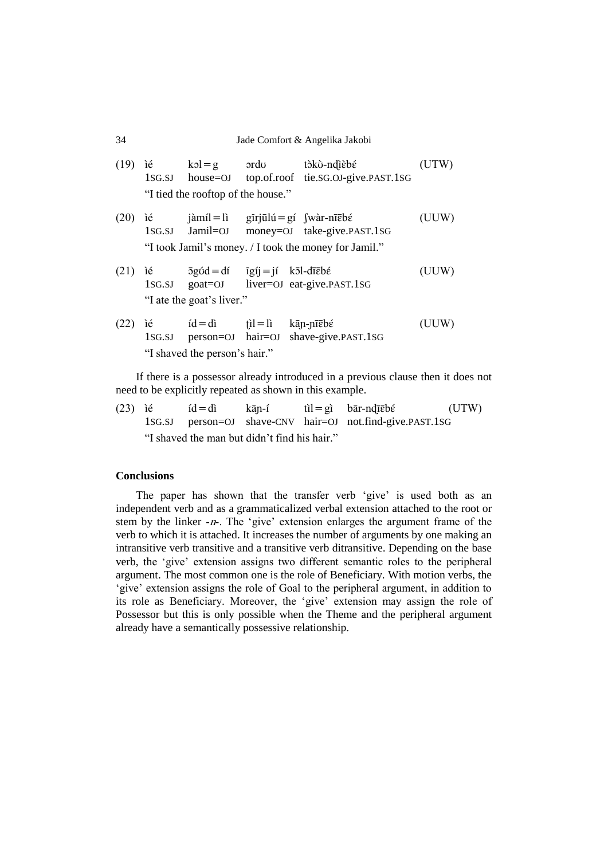## 34 Jade Comfort & Angelika Jakobi

|      | $(19)$ ié | $kol = g$ ordu<br>$1SG.SJ$ house= $OJ$                                                                                                                                                                                                                                                                              | tòkù-ndìèbé<br>top.of.roof tie.sG.OJ-give.PAST.1SG                                                                                                      |       |
|------|-----------|---------------------------------------------------------------------------------------------------------------------------------------------------------------------------------------------------------------------------------------------------------------------------------------------------------------------|---------------------------------------------------------------------------------------------------------------------------------------------------------|-------|
|      |           | "I tied the rooftop of the house."                                                                                                                                                                                                                                                                                  |                                                                                                                                                         |       |
| (20) | ié        | $1SG.SJ$ $Jamil=OJ$                                                                                                                                                                                                                                                                                                 | $j\$ {a}míl = lì gīrjūlú = gí $\int$ wàr-nī $\bar{\epsilon}$ bé<br>money=OJ take-give.PAST.1SG<br>"I took Jamil's money. / I took the money for Jamil." | (UUW) |
| (21) | ìé        | $\bar{c}$ $\bar{c}$ $\bar{c}$ $\bar{c}$ $\bar{c}$ $\bar{c}$ $\bar{c}$ $\bar{c}$ $\bar{c}$ $\bar{c}$ $\bar{c}$ $\bar{c}$ $\bar{c}$ $\bar{c}$ $\bar{c}$ $\bar{c}$ $\bar{c}$ $\bar{c}$ $\bar{c}$ $\bar{c}$ $\bar{c}$ $\bar{c}$ $\bar{c}$ $\bar{c}$ $\bar{c}$ $\bar{c}$ $\bar{c}$ $\bar{c$<br>"I ate the goat's liver." | 1sg.sj goat=0J liver=0J eat-give.past.1sg                                                                                                               | (UUW) |
| (22) |           | $id = di$ $\hat{dl} = li$ $k\bar{a}p$ -pīc $b\hat{\epsilon}$<br>"I shaved the person's hair."                                                                                                                                                                                                                       | 1sG.SJ person=OJ hair=OJ shave-give.PAST.1sG                                                                                                            | (UUW) |

If there is a possessor already introduced in a previous clause then it does not need to be explicitly repeated as shown in this example.

(23) ié  $id = di$  kān-í  $til = gi$  bār-ndīēbé (UTW) 1SG.SJ person=OJ shave-CNV hair=OJ not.find-give.PAST.1SG "I shaved the man but didn"t find his hair."

# **Conclusions**

The paper has shown that the transfer verb 'give' is used both as an independent verb and as a grammaticalized verbal extension attached to the root or stem by the linker -n-. The "give" extension enlarges the argument frame of the verb to which it is attached. It increases the number of arguments by one making an intransitive verb transitive and a transitive verb ditransitive. Depending on the base verb, the "give" extension assigns two different semantic roles to the peripheral argument. The most common one is the role of Beneficiary. With motion verbs, the 'give' extension assigns the role of Goal to the peripheral argument, in addition to its role as Beneficiary. Moreover, the "give" extension may assign the role of Possessor but this is only possible when the Theme and the peripheral argument already have a semantically possessive relationship.